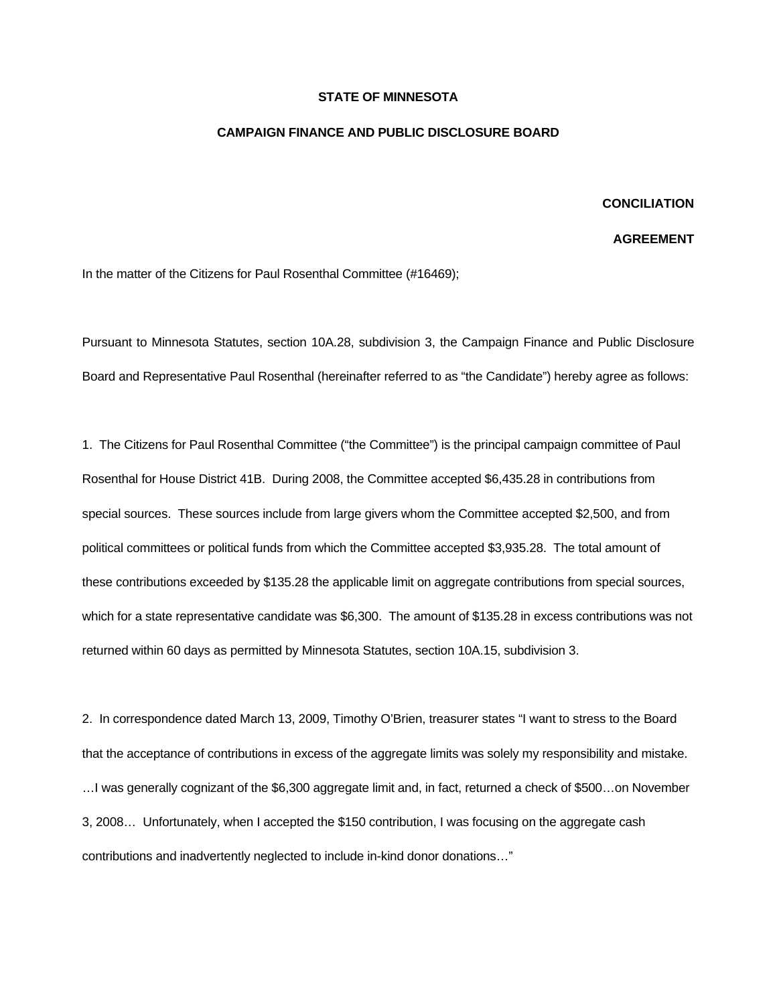## **STATE OF MINNESOTA**

## **CAMPAIGN FINANCE AND PUBLIC DISCLOSURE BOARD**

## **CONCILIATION**

## **AGREEMENT**

In the matter of the Citizens for Paul Rosenthal Committee (#16469);

Pursuant to Minnesota Statutes, section 10A.28, subdivision 3, the Campaign Finance and Public Disclosure Board and Representative Paul Rosenthal (hereinafter referred to as "the Candidate") hereby agree as follows:

1. The Citizens for Paul Rosenthal Committee ("the Committee") is the principal campaign committee of Paul Rosenthal for House District 41B. During 2008, the Committee accepted \$6,435.28 in contributions from special sources. These sources include from large givers whom the Committee accepted \$2,500, and from political committees or political funds from which the Committee accepted \$3,935.28. The total amount of these contributions exceeded by \$135.28 the applicable limit on aggregate contributions from special sources, which for a state representative candidate was \$6,300. The amount of \$135.28 in excess contributions was not returned within 60 days as permitted by Minnesota Statutes, section 10A.15, subdivision 3.

2. In correspondence dated March 13, 2009, Timothy O'Brien, treasurer states "I want to stress to the Board that the acceptance of contributions in excess of the aggregate limits was solely my responsibility and mistake. …I was generally cognizant of the \$6,300 aggregate limit and, in fact, returned a check of \$500…on November 3, 2008… Unfortunately, when I accepted the \$150 contribution, I was focusing on the aggregate cash contributions and inadvertently neglected to include in-kind donor donations…"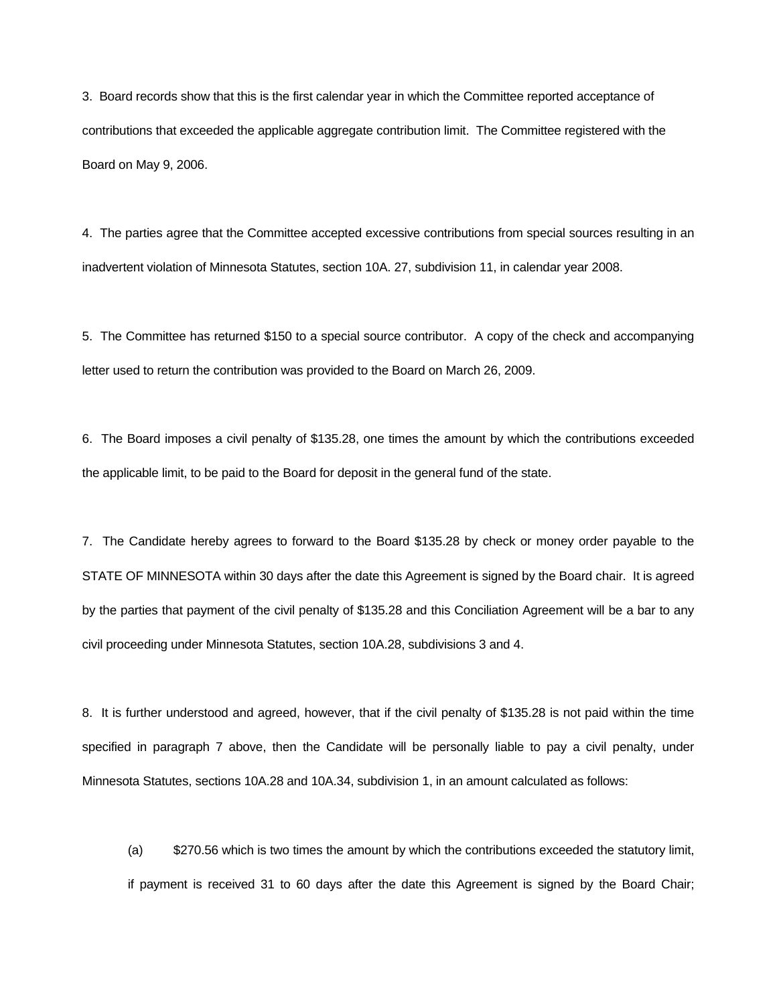3. Board records show that this is the first calendar year in which the Committee reported acceptance of contributions that exceeded the applicable aggregate contribution limit. The Committee registered with the Board on May 9, 2006.

4. The parties agree that the Committee accepted excessive contributions from special sources resulting in an inadvertent violation of Minnesota Statutes, section 10A. 27, subdivision 11, in calendar year 2008.

5. The Committee has returned \$150 to a special source contributor. A copy of the check and accompanying letter used to return the contribution was provided to the Board on March 26, 2009.

6. The Board imposes a civil penalty of \$135.28, one times the amount by which the contributions exceeded the applicable limit, to be paid to the Board for deposit in the general fund of the state.

7. The Candidate hereby agrees to forward to the Board \$135.28 by check or money order payable to the STATE OF MINNESOTA within 30 days after the date this Agreement is signed by the Board chair. It is agreed by the parties that payment of the civil penalty of \$135.28 and this Conciliation Agreement will be a bar to any civil proceeding under Minnesota Statutes, section 10A.28, subdivisions 3 and 4.

8. It is further understood and agreed, however, that if the civil penalty of \$135.28 is not paid within the time specified in paragraph 7 above, then the Candidate will be personally liable to pay a civil penalty, under Minnesota Statutes, sections 10A.28 and 10A.34, subdivision 1, in an amount calculated as follows:

 (a) \$270.56 which is two times the amount by which the contributions exceeded the statutory limit, if payment is received 31 to 60 days after the date this Agreement is signed by the Board Chair;